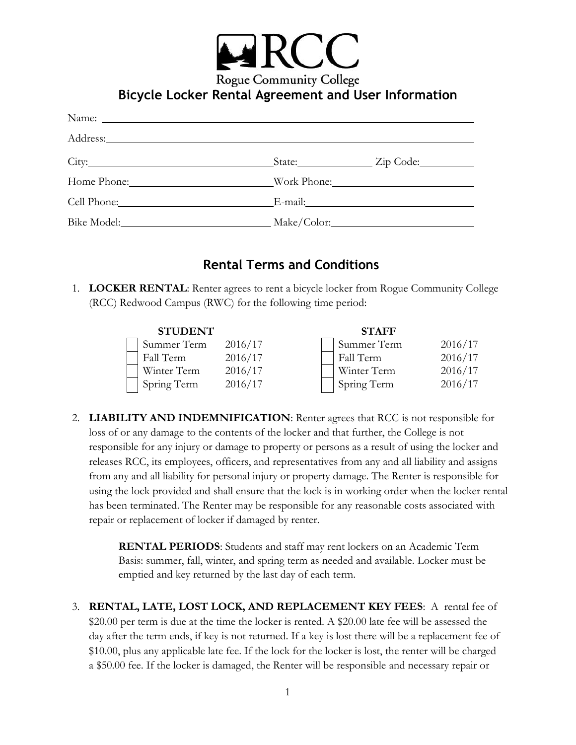

## **Bicycle Locker Rental Agreement and User Information**

|                  |                                     | State: <u>Zip Code:</u> |  |
|------------------|-------------------------------------|-------------------------|--|
|                  | Home Phone: Work Phone:             |                         |  |
| Cell Phone: 2008 |                                     |                         |  |
|                  | Bike Model: Make/Color: Make/Color: |                         |  |

## **Rental Terms and Conditions**

1. **LOCKER RENTAL**: Renter agrees to rent a bicycle locker from Rogue Community College (RCC) Redwood Campus (RWC) for the following time period:

| <b>STUDENT</b> |         | <b>STAFF</b> |         |
|----------------|---------|--------------|---------|
| Summer Term    | 2016/17 | Summer Term  | 2016/17 |
| Fall Term      | 2016/17 | Fall Term    | 2016/17 |
| Winter Term    | 2016/17 | Winter Term  | 2016/17 |
| Spring Term    | 2016/17 | Spring Term  | 2016/17 |

2. **LIABILITY AND INDEMNIFICATION**: Renter agrees that RCC is not responsible for loss of or any damage to the contents of the locker and that further, the College is not responsible for any injury or damage to property or persons as a result of using the locker and releases RCC, its employees, officers, and representatives from any and all liability and assigns from any and all liability for personal injury or property damage. The Renter is responsible for using the lock provided and shall ensure that the lock is in working order when the locker rental has been terminated. The Renter may be responsible for any reasonable costs associated with repair or replacement of locker if damaged by renter.

> **RENTAL PERIODS**: Students and staff may rent lockers on an Academic Term Basis: summer, fall, winter, and spring term as needed and available. Locker must be emptied and key returned by the last day of each term.

3. **RENTAL, LATE, LOST LOCK, AND REPLACEMENT KEY FEES**: A rental fee of \$20.00 per term is due at the time the locker is rented. A \$20.00 late fee will be assessed the day after the term ends, if key is not returned. If a key is lost there will be a replacement fee of \$10.00, plus any applicable late fee. If the lock for the locker is lost, the renter will be charged a \$50.00 fee. If the locker is damaged, the Renter will be responsible and necessary repair or